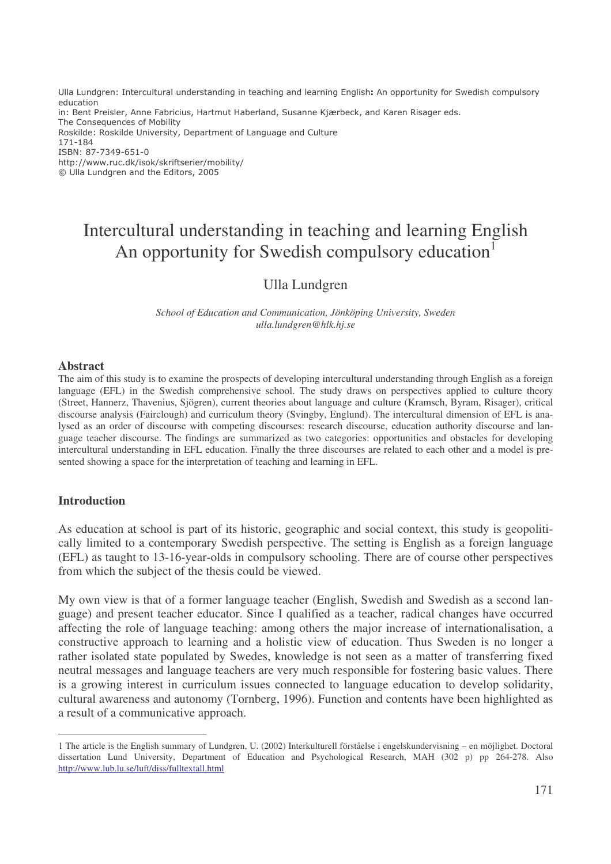Ulla Lundgren: Intercultural understanding in teaching and learning English: An opportunity for Swedish compulsory education in: Bent Preisler, Anne Fabricius, Hartmut Haberland, Susanne Kjærbeck, and Karen Risager eds. The Consequences of Mobility Roskilde: Roskilde University, Department of Language and Culture 171-184 ISBN: 87-7349-651-0 http://www.ruc.dk/isok/skriftserier/mobility/ © Ulla Lundgren and the Editors, 2005

# Intercultural understanding in teaching and learning English An opportunity for Swedish compulsory education<sup>1</sup>

## Ulla Lundgren

*School of Education and Communication, Jönköping University, Sweden ulla.lundgren@hlk.hj.se*

#### **Abstract**

The aim of this study is to examine the prospects of developing intercultural understanding through English as a foreign language (EFL) in the Swedish comprehensive school. The study draws on perspectives applied to culture theory (Street, Hannerz, Thavenius, Sjögren), current theories about language and culture (Kramsch, Byram, Risager), critical discourse analysis (Fairclough) and curriculum theory (Svingby, Englund). The intercultural dimension of EFL is analysed as an order of discourse with competing discourses: research discourse, education authority discourse and language teacher discourse. The findings are summarized as two categories: opportunities and obstacles for developing intercultural understanding in EFL education. Finally the three discourses are related to each other and a model is presented showing a space for the interpretation of teaching and learning in EFL.

#### **Introduction**

As education at school is part of its historic, geographic and social context, this study is geopolitically limited to a contemporary Swedish perspective. The setting is English as a foreign language (EFL) as taught to 13-16-year-olds in compulsory schooling. There are of course other perspectives from which the subject of the thesis could be viewed.

My own view is that of a former language teacher (English, Swedish and Swedish as a second language) and present teacher educator. Since I qualified as a teacher, radical changes have occurred affecting the role of language teaching: among others the major increase of internationalisation, a constructive approach to learning and a holistic view of education. Thus Sweden is no longer a rather isolated state populated by Swedes, knowledge is not seen as a matter of transferring fixed neutral messages and language teachers are very much responsible for fostering basic values. There is a growing interest in curriculum issues connected to language education to develop solidarity, cultural awareness and autonomy (Tornberg, 1996). Function and contents have been highlighted as a result of a communicative approach.

<sup>1</sup> The article is the English summary of Lundgren, U. (2002) Interkulturell förståelse i engelskundervisning – en möjlighet. Doctoral dissertation Lund University, Department of Education and Psychological Research, MAH (302 p) pp 264-278. Also http://www.lub.lu.se/luft/diss/fulltextall.html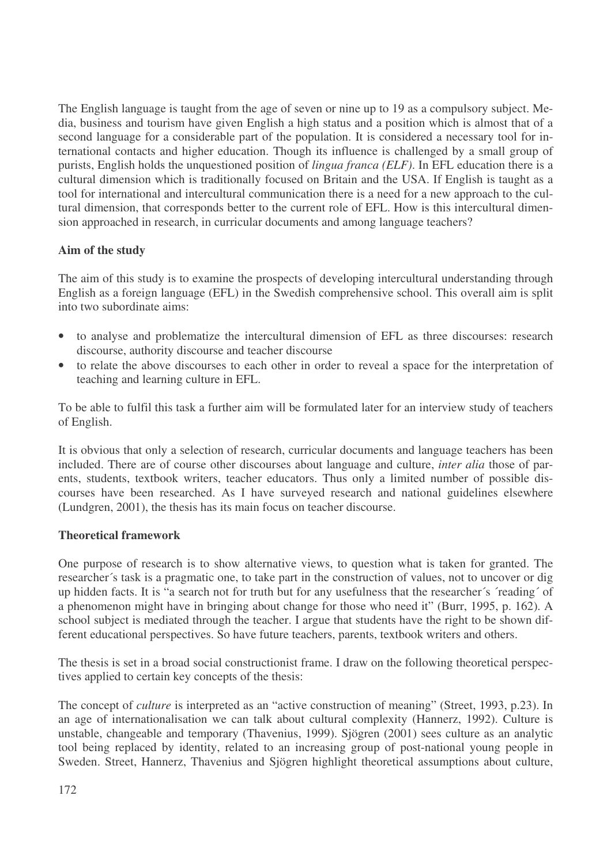The English language is taught from the age of seven or nine up to 19 as a compulsory subject. Media, business and tourism have given English a high status and a position which is almost that of a second language for a considerable part of the population. It is considered a necessary tool for international contacts and higher education. Though its influence is challenged by a small group of purists, English holds the unquestioned position of *lingua franca (ELF)*. In EFL education there is a cultural dimension which is traditionally focused on Britain and the USA. If English is taught as a tool for international and intercultural communication there is a need for a new approach to the cultural dimension, that corresponds better to the current role of EFL. How is this intercultural dimension approached in research, in curricular documents and among language teachers?

# **Aim of the study**

The aim of this study is to examine the prospects of developing intercultural understanding through English as a foreign language (EFL) in the Swedish comprehensive school. This overall aim is split into two subordinate aims:

- to analyse and problematize the intercultural dimension of EFL as three discourses: research discourse, authority discourse and teacher discourse
- to relate the above discourses to each other in order to reveal a space for the interpretation of teaching and learning culture in EFL.

To be able to fulfil this task a further aim will be formulated later for an interview study of teachers of English.

It is obvious that only a selection of research, curricular documents and language teachers has been included. There are of course other discourses about language and culture, *inter alia* those of parents, students, textbook writers, teacher educators. Thus only a limited number of possible discourses have been researched. As I have surveyed research and national guidelines elsewhere (Lundgren, 2001), the thesis has its main focus on teacher discourse.

## **Theoretical framework**

One purpose of research is to show alternative views, to question what is taken for granted. The researcher´s task is a pragmatic one, to take part in the construction of values, not to uncover or dig up hidden facts. It is "a search not for truth but for any usefulness that the researcher´s ´reading´ of a phenomenon might have in bringing about change for those who need it" (Burr, 1995, p. 162). A school subject is mediated through the teacher. I argue that students have the right to be shown different educational perspectives. So have future teachers, parents, textbook writers and others.

The thesis is set in a broad social constructionist frame. I draw on the following theoretical perspectives applied to certain key concepts of the thesis:

The concept of *culture* is interpreted as an "active construction of meaning" (Street, 1993, p.23). In an age of internationalisation we can talk about cultural complexity (Hannerz, 1992). Culture is unstable, changeable and temporary (Thavenius, 1999). Sjögren (2001) sees culture as an analytic tool being replaced by identity, related to an increasing group of post-national young people in Sweden. Street, Hannerz, Thavenius and Sjögren highlight theoretical assumptions about culture,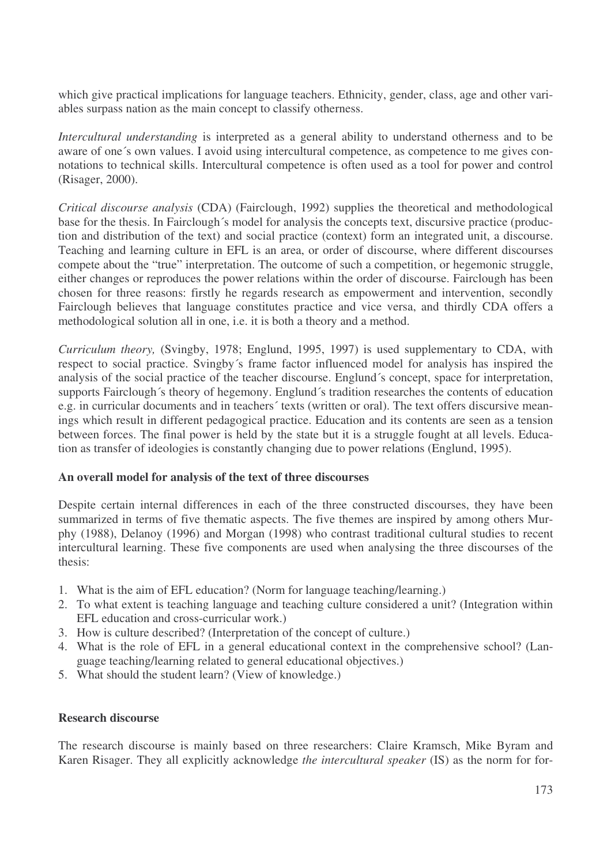which give practical implications for language teachers. Ethnicity, gender, class, age and other variables surpass nation as the main concept to classify otherness.

*Intercultural understanding* is interpreted as a general ability to understand otherness and to be aware of one´s own values. I avoid using intercultural competence, as competence to me gives connotations to technical skills. Intercultural competence is often used as a tool for power and control (Risager, 2000).

*Critical discourse analysis* (CDA) (Fairclough, 1992) supplies the theoretical and methodological base for the thesis. In Fairclough´s model for analysis the concepts text, discursive practice (production and distribution of the text) and social practice (context) form an integrated unit, a discourse. Teaching and learning culture in EFL is an area, or order of discourse, where different discourses compete about the "true" interpretation. The outcome of such a competition, or hegemonic struggle, either changes or reproduces the power relations within the order of discourse. Fairclough has been chosen for three reasons: firstly he regards research as empowerment and intervention, secondly Fairclough believes that language constitutes practice and vice versa, and thirdly CDA offers a methodological solution all in one, i.e. it is both a theory and a method.

*Curriculum theory,* (Svingby, 1978; Englund, 1995, 1997) is used supplementary to CDA, with respect to social practice. Svingby´s frame factor influenced model for analysis has inspired the analysis of the social practice of the teacher discourse. Englund´s concept, space for interpretation, supports Fairclough´s theory of hegemony. Englund´s tradition researches the contents of education e.g. in curricular documents and in teachers´ texts (written or oral). The text offers discursive meanings which result in different pedagogical practice. Education and its contents are seen as a tension between forces. The final power is held by the state but it is a struggle fought at all levels. Education as transfer of ideologies is constantly changing due to power relations (Englund, 1995).

### **An overall model for analysis of the text of three discourses**

Despite certain internal differences in each of the three constructed discourses, they have been summarized in terms of five thematic aspects. The five themes are inspired by among others Murphy (1988), Delanoy (1996) and Morgan (1998) who contrast traditional cultural studies to recent intercultural learning. These five components are used when analysing the three discourses of the thesis:

- 1. What is the aim of EFL education? (Norm for language teaching/learning.)
- 2. To what extent is teaching language and teaching culture considered a unit? (Integration within EFL education and cross-curricular work.)
- 3. How is culture described? (Interpretation of the concept of culture.)
- 4. What is the role of EFL in a general educational context in the comprehensive school? (Language teaching/learning related to general educational objectives.)
- 5. What should the student learn? (View of knowledge.)

### **Research discourse**

The research discourse is mainly based on three researchers: Claire Kramsch, Mike Byram and Karen Risager. They all explicitly acknowledge *the intercultural speaker* (IS) as the norm for for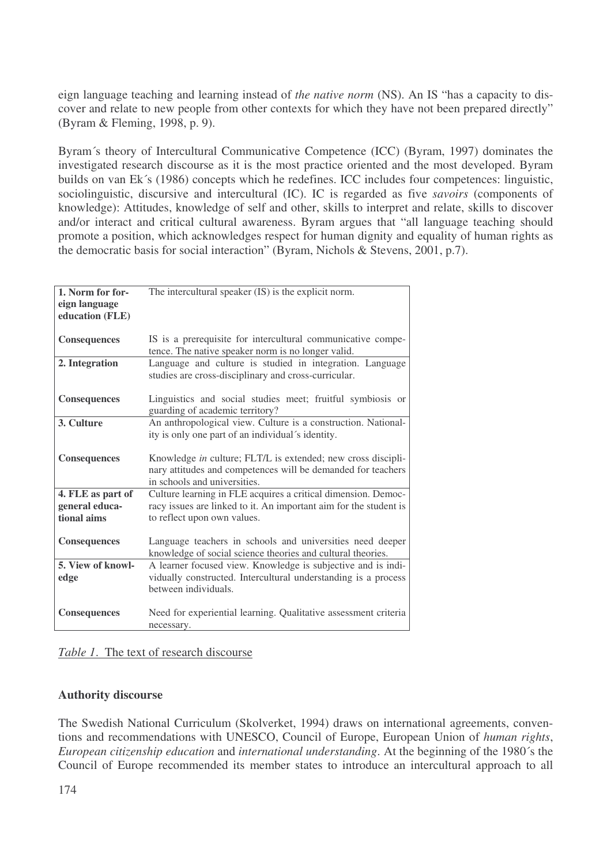eign language teaching and learning instead of *the native norm* (NS). An IS "has a capacity to discover and relate to new people from other contexts for which they have not been prepared directly" (Byram & Fleming, 1998, p. 9).

Byram´s theory of Intercultural Communicative Competence (ICC) (Byram, 1997) dominates the investigated research discourse as it is the most practice oriented and the most developed. Byram builds on van Ek´s (1986) concepts which he redefines. ICC includes four competences: linguistic, sociolinguistic, discursive and intercultural (IC). IC is regarded as five *savoirs* (components of knowledge): Attitudes, knowledge of self and other, skills to interpret and relate, skills to discover and/or interact and critical cultural awareness. Byram argues that "all language teaching should promote a position, which acknowledges respect for human dignity and equality of human rights as the democratic basis for social interaction" (Byram, Nichols & Stevens, 2001, p.7).

| 1. Norm for for-    | The intercultural speaker (IS) is the explicit norm.              |
|---------------------|-------------------------------------------------------------------|
| eign language       |                                                                   |
| education (FLE)     |                                                                   |
|                     |                                                                   |
|                     |                                                                   |
| <b>Consequences</b> | IS is a prerequisite for intercultural communicative compe-       |
|                     | tence. The native speaker norm is no longer valid.                |
| 2. Integration      | Language and culture is studied in integration. Language          |
|                     | studies are cross-disciplinary and cross-curricular.              |
|                     |                                                                   |
| Consequences        | Linguistics and social studies meet; fruitful symbiosis or        |
|                     | guarding of academic territory?                                   |
| 3. Culture          | An anthropological view. Culture is a construction. National-     |
|                     |                                                                   |
|                     | ity is only one part of an individual's identity.                 |
|                     |                                                                   |
| Consequences        | Knowledge in culture; FLT/L is extended; new cross discipli-      |
|                     | nary attitudes and competences will be demanded for teachers      |
|                     | in schools and universities.                                      |
| 4. FLE as part of   | Culture learning in FLE acquires a critical dimension. Democ-     |
| general educa-      | racy issues are linked to it. An important aim for the student is |
| tional aims         | to reflect upon own values.                                       |
|                     |                                                                   |
| Consequences        | Language teachers in schools and universities need deeper         |
|                     |                                                                   |
|                     | knowledge of social science theories and cultural theories.       |
| 5. View of knowl-   | A learner focused view. Knowledge is subjective and is indi-      |
| edge                | vidually constructed. Intercultural understanding is a process    |
|                     | between individuals.                                              |
|                     |                                                                   |
| <b>Consequences</b> | Need for experiential learning. Qualitative assessment criteria   |
|                     | necessary.                                                        |

*Table 1*. The text of research discourse

### **Authority discourse**

The Swedish National Curriculum (Skolverket, 1994) draws on international agreements, conventions and recommendations with UNESCO, Council of Europe, European Union of *human rights*, *European citizenship education* and *international understanding*. At the beginning of the 1980´s the Council of Europe recommended its member states to introduce an intercultural approach to all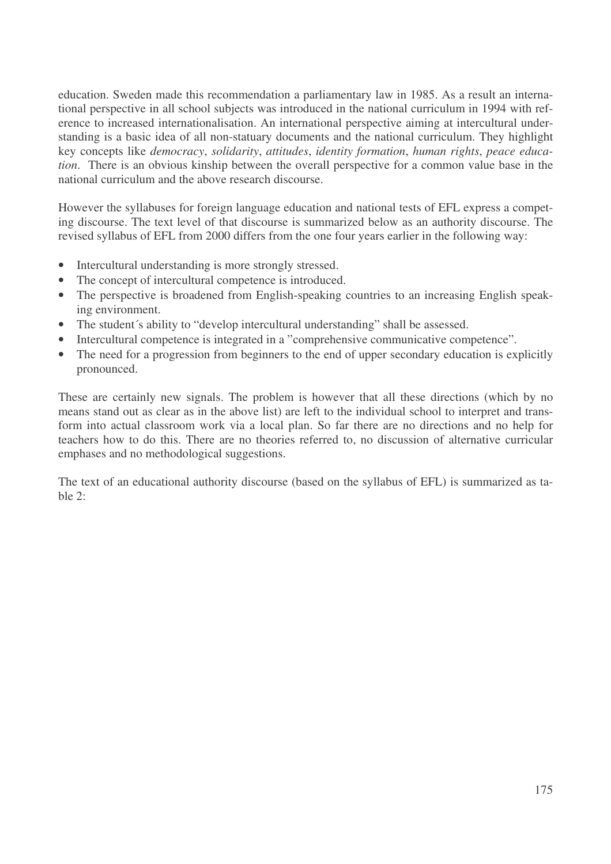education. Sweden made this recommendation a parliamentary law in 1985. As a result an international perspective in all school subjects was introduced in the national curriculum in 1994 with reference to increased internationalisation. An international perspective aiming at intercultural understanding is a basic idea of all non-statuary documents and the national curriculum. They highlight key concepts like *democracy*, *solidarity*, *attitudes*, *identity formation*, *human rights*, *peace education*. There is an obvious kinship between the overall perspective for a common value base in the national curriculum and the above research discourse.

However the syllabuses for foreign language education and national tests of EFL express a competing discourse. The text level of that discourse is summarized below as an authority discourse. The revised syllabus of EFL from 2000 differs from the one four years earlier in the following way:

- Intercultural understanding is more strongly stressed.
- The concept of intercultural competence is introduced.
- The perspective is broadened from English-speaking countries to an increasing English speaking environment.
- The student's ability to "develop intercultural understanding" shall be assessed.
- Intercultural competence is integrated in a "comprehensive communicative competence".
- The need for a progression from beginners to the end of upper secondary education is explicitly pronounced.

These are certainly new signals. The problem is however that all these directions (which by no means stand out as clear as in the above list) are left to the individual school to interpret and transform into actual classroom work via a local plan. So far there are no directions and no help for teachers how to do this. There are no theories referred to, no discussion of alternative curricular emphases and no methodological suggestions.

The text of an educational authority discourse (based on the syllabus of EFL) is summarized as table  $2$ :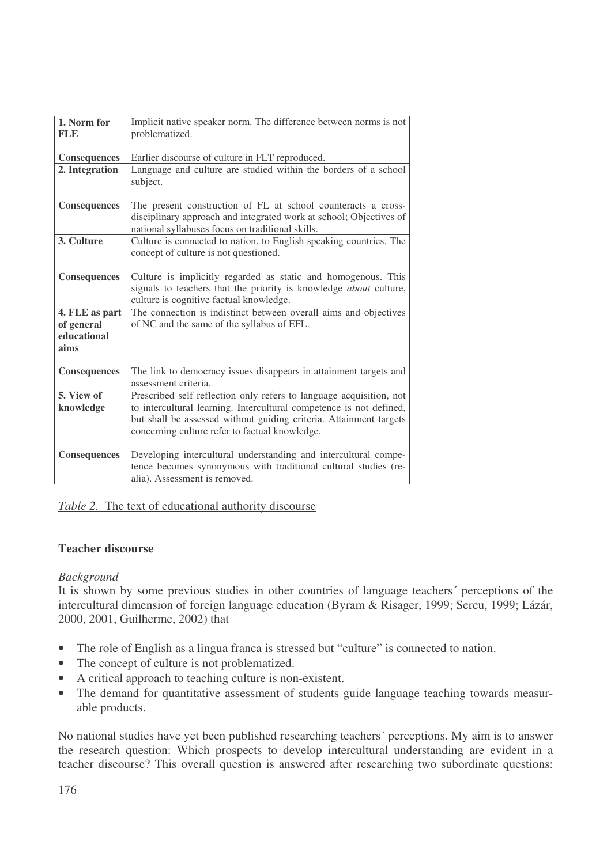| 1. Norm for<br><b>FLE</b> | Implicit native speaker norm. The difference between norms is not<br>problematized.                                                                                           |  |  |
|---------------------------|-------------------------------------------------------------------------------------------------------------------------------------------------------------------------------|--|--|
|                           |                                                                                                                                                                               |  |  |
| Consequences              | Earlier discourse of culture in FLT reproduced.                                                                                                                               |  |  |
| 2. Integration            | Language and culture are studied within the borders of a school<br>subject.                                                                                                   |  |  |
| <b>Consequences</b>       | The present construction of FL at school counteracts a cross-                                                                                                                 |  |  |
|                           | disciplinary approach and integrated work at school; Objectives of<br>national syllabuses focus on traditional skills.                                                        |  |  |
| 3. Culture                | Culture is connected to nation, to English speaking countries. The<br>concept of culture is not questioned.                                                                   |  |  |
| <b>Consequences</b>       | Culture is implicitly regarded as static and homogenous. This<br>signals to teachers that the priority is knowledge about culture,<br>culture is cognitive factual knowledge. |  |  |
| 4. FLE as part            | The connection is indistinct between overall aims and objectives                                                                                                              |  |  |
| of general                | of NC and the same of the syllabus of EFL.                                                                                                                                    |  |  |
| educational               |                                                                                                                                                                               |  |  |
| aims                      |                                                                                                                                                                               |  |  |
| Consequences              | The link to democracy issues disappears in attainment targets and<br>assessment criteria.                                                                                     |  |  |
| 5. View of                | Prescribed self reflection only refers to language acquisition, not                                                                                                           |  |  |
| knowledge                 | to intercultural learning. Intercultural competence is not defined,                                                                                                           |  |  |
|                           | but shall be assessed without guiding criteria. Attainment targets                                                                                                            |  |  |
|                           | concerning culture refer to factual knowledge.                                                                                                                                |  |  |
| <b>Consequences</b>       | Developing intercultural understanding and intercultural compe-<br>tence becomes synonymous with traditional cultural studies (re-<br>alia). Assessment is removed.           |  |  |

*Table 2.* The text of educational authority discourse

## **Teacher discourse**

### *Background*

It is shown by some previous studies in other countries of language teachers´ perceptions of the intercultural dimension of foreign language education (Byram & Risager, 1999; Sercu, 1999; Lázár, 2000, 2001, Guilherme, 2002) that

- The role of English as a lingua franca is stressed but "culture" is connected to nation.
- The concept of culture is not problematized.
- A critical approach to teaching culture is non-existent.
- The demand for quantitative assessment of students guide language teaching towards measurable products.

No national studies have yet been published researching teachers´ perceptions. My aim is to answer the research question: Which prospects to develop intercultural understanding are evident in a teacher discourse? This overall question is answered after researching two subordinate questions: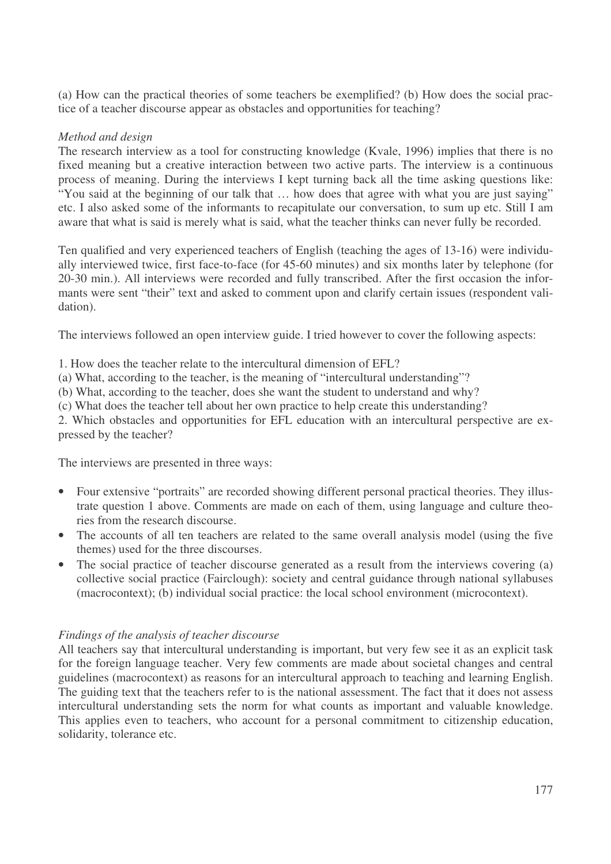(a) How can the practical theories of some teachers be exemplified? (b) How does the social practice of a teacher discourse appear as obstacles and opportunities for teaching?

## *Method and design*

The research interview as a tool for constructing knowledge (Kvale, 1996) implies that there is no fixed meaning but a creative interaction between two active parts. The interview is a continuous process of meaning. During the interviews I kept turning back all the time asking questions like: "You said at the beginning of our talk that … how does that agree with what you are just saying" etc. I also asked some of the informants to recapitulate our conversation, to sum up etc. Still I am aware that what is said is merely what is said, what the teacher thinks can never fully be recorded.

Ten qualified and very experienced teachers of English (teaching the ages of 13-16) were individually interviewed twice, first face-to-face (for 45-60 minutes) and six months later by telephone (for 20-30 min.). All interviews were recorded and fully transcribed. After the first occasion the informants were sent "their" text and asked to comment upon and clarify certain issues (respondent validation).

The interviews followed an open interview guide. I tried however to cover the following aspects:

1. How does the teacher relate to the intercultural dimension of EFL?

(a) What, according to the teacher, is the meaning of "intercultural understanding"?

(b) What, according to the teacher, does she want the student to understand and why?

(c) What does the teacher tell about her own practice to help create this understanding?

2. Which obstacles and opportunities for EFL education with an intercultural perspective are expressed by the teacher?

The interviews are presented in three ways:

- Four extensive "portraits" are recorded showing different personal practical theories. They illustrate question 1 above. Comments are made on each of them, using language and culture theories from the research discourse.
- The accounts of all ten teachers are related to the same overall analysis model (using the five themes) used for the three discourses.
- The social practice of teacher discourse generated as a result from the interviews covering (a) collective social practice (Fairclough): society and central guidance through national syllabuses (macrocontext); (b) individual social practice: the local school environment (microcontext).

## *Findings of the analysis of teacher discourse*

All teachers say that intercultural understanding is important, but very few see it as an explicit task for the foreign language teacher. Very few comments are made about societal changes and central guidelines (macrocontext) as reasons for an intercultural approach to teaching and learning English. The guiding text that the teachers refer to is the national assessment. The fact that it does not assess intercultural understanding sets the norm for what counts as important and valuable knowledge. This applies even to teachers, who account for a personal commitment to citizenship education, solidarity, tolerance etc.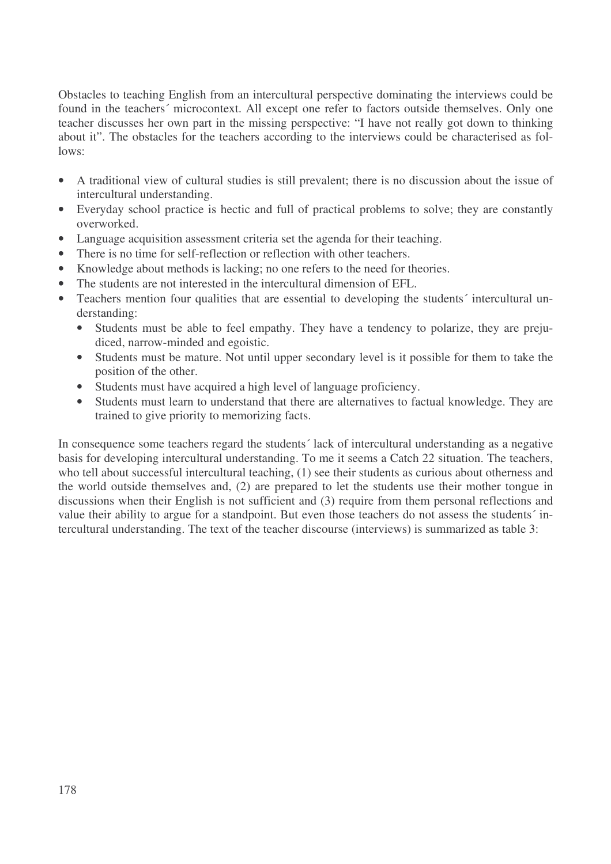Obstacles to teaching English from an intercultural perspective dominating the interviews could be found in the teachers' microcontext. All except one refer to factors outside themselves. Only one teacher discusses her own part in the missing perspective: "I have not really got down to thinking about it". The obstacles for the teachers according to the interviews could be characterised as follows:

- A traditional view of cultural studies is still prevalent; there is no discussion about the issue of intercultural understanding.
- Everyday school practice is hectic and full of practical problems to solve; they are constantly overworked.
- Language acquisition assessment criteria set the agenda for their teaching.
- There is no time for self-reflection or reflection with other teachers.
- Knowledge about methods is lacking; no one refers to the need for theories.
- The students are not interested in the intercultural dimension of EFL.
- Teachers mention four qualities that are essential to developing the students' intercultural understanding:
	- Students must be able to feel empathy. They have a tendency to polarize, they are prejudiced, narrow-minded and egoistic.
	- Students must be mature. Not until upper secondary level is it possible for them to take the position of the other.
	- Students must have acquired a high level of language proficiency.
	- Students must learn to understand that there are alternatives to factual knowledge. They are trained to give priority to memorizing facts.

In consequence some teachers regard the students´ lack of intercultural understanding as a negative basis for developing intercultural understanding. To me it seems a Catch 22 situation. The teachers, who tell about successful intercultural teaching, (1) see their students as curious about otherness and the world outside themselves and, (2) are prepared to let the students use their mother tongue in discussions when their English is not sufficient and (3) require from them personal reflections and value their ability to argue for a standpoint. But even those teachers do not assess the students´ intercultural understanding. The text of the teacher discourse (interviews) is summarized as table 3: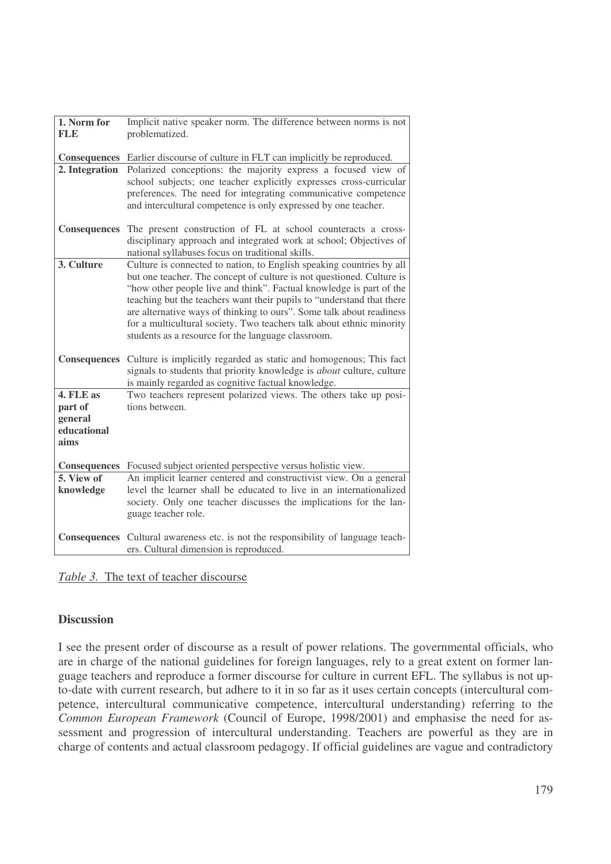| 1. Norm for            | Implicit native speaker norm. The difference between norms is not                                                                            |
|------------------------|----------------------------------------------------------------------------------------------------------------------------------------------|
| <b>FLE</b>             | problematized.                                                                                                                               |
| <b>Consequences</b>    | Earlier discourse of culture in FLT can implicitly be reproduced.                                                                            |
| 2. Integration         | Polarized conceptions: the majority express a focused view of                                                                                |
|                        | school subjects; one teacher explicitly expresses cross-curricular                                                                           |
|                        | preferences. The need for integrating communicative competence                                                                               |
|                        | and intercultural competence is only expressed by one teacher.                                                                               |
| <b>Consequences</b>    | The present construction of FL at school counteracts a cross-                                                                                |
|                        | disciplinary approach and integrated work at school; Objectives of                                                                           |
|                        | national syllabuses focus on traditional skills.                                                                                             |
| 3. Culture             | Culture is connected to nation, to English speaking countries by all                                                                         |
|                        | but one teacher. The concept of culture is not questioned. Culture is<br>"how other people live and think". Factual knowledge is part of the |
|                        | teaching but the teachers want their pupils to "understand that there                                                                        |
|                        | are alternative ways of thinking to ours". Some talk about readiness                                                                         |
|                        | for a multicultural society. Two teachers talk about ethnic minority                                                                         |
|                        | students as a resource for the language classroom.                                                                                           |
| Consequences           | Culture is implicitly regarded as static and homogenous; This fact                                                                           |
|                        | signals to students that priority knowledge is <i>about</i> culture, culture                                                                 |
|                        | is mainly regarded as cognitive factual knowledge.                                                                                           |
| 4. FLE as              | Two teachers represent polarized views. The others take up posi-                                                                             |
| part of                | tions between.                                                                                                                               |
| general<br>educational |                                                                                                                                              |
| aims                   |                                                                                                                                              |
|                        |                                                                                                                                              |
| <b>Consequences</b>    | Focused subject oriented perspective versus holistic view.                                                                                   |
| 5. View of             | An implicit learner centered and constructivist view. On a general                                                                           |
| knowledge              | level the learner shall be educated to live in an internationalized<br>society. Only one teacher discusses the implications for the lan-     |
|                        | guage teacher role.                                                                                                                          |
|                        |                                                                                                                                              |
| <b>Consequences</b>    | Cultural awareness etc. is not the responsibility of language teach-                                                                         |
|                        | ers. Cultural dimension is reproduced.                                                                                                       |

### *Table 3.* The text of teacher discourse

## **Discussion**

I see the present order of discourse as a result of power relations. The governmental officials, who are in charge of the national guidelines for foreign languages, rely to a great extent on former language teachers and reproduce a former discourse for culture in current EFL. The syllabus is not upto-date with current research, but adhere to it in so far as it uses certain concepts (intercultural competence, intercultural communicative competence, intercultural understanding) referring to the *Common European Framework* (Council of Europe, 1998/2001) and emphasise the need for assessment and progression of intercultural understanding. Teachers are powerful as they are in charge of contents and actual classroom pedagogy. If official guidelines are vague and contradictory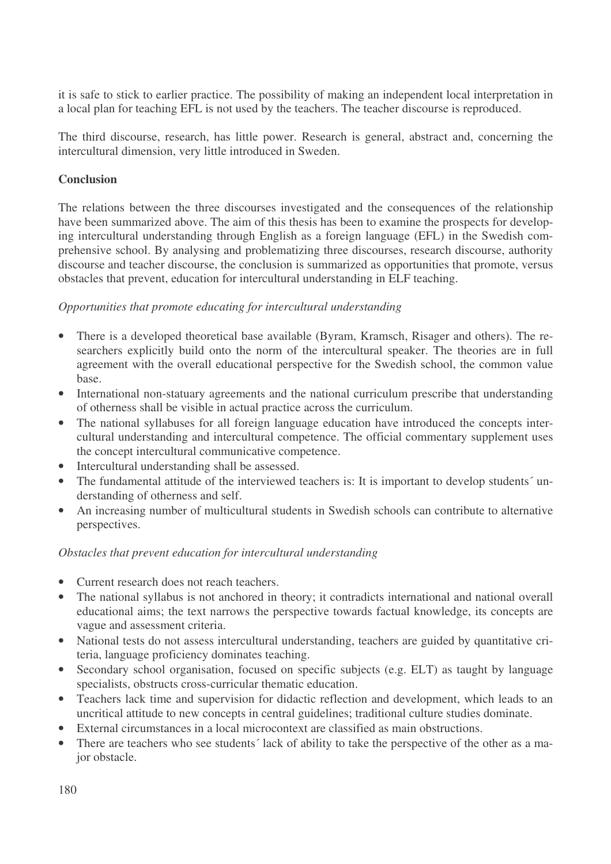it is safe to stick to earlier practice. The possibility of making an independent local interpretation in a local plan for teaching EFL is not used by the teachers. The teacher discourse is reproduced.

The third discourse, research, has little power. Research is general, abstract and, concerning the intercultural dimension, very little introduced in Sweden.

## **Conclusion**

The relations between the three discourses investigated and the consequences of the relationship have been summarized above. The aim of this thesis has been to examine the prospects for developing intercultural understanding through English as a foreign language (EFL) in the Swedish comprehensive school. By analysing and problematizing three discourses, research discourse, authority discourse and teacher discourse, the conclusion is summarized as opportunities that promote, versus obstacles that prevent, education for intercultural understanding in ELF teaching.

## *Opportunities that promote educating for intercultural understanding*

- There is a developed theoretical base available (Byram, Kramsch, Risager and others). The researchers explicitly build onto the norm of the intercultural speaker. The theories are in full agreement with the overall educational perspective for the Swedish school, the common value base.
- International non-statuary agreements and the national curriculum prescribe that understanding of otherness shall be visible in actual practice across the curriculum.
- The national syllabuses for all foreign language education have introduced the concepts intercultural understanding and intercultural competence. The official commentary supplement uses the concept intercultural communicative competence.
- Intercultural understanding shall be assessed.
- The fundamental attitude of the interviewed teachers is: It is important to develop students' understanding of otherness and self.
- An increasing number of multicultural students in Swedish schools can contribute to alternative perspectives.

## *Obstacles that prevent education for intercultural understanding*

- Current research does not reach teachers.
- The national syllabus is not anchored in theory; it contradicts international and national overall educational aims; the text narrows the perspective towards factual knowledge, its concepts are vague and assessment criteria.
- National tests do not assess intercultural understanding, teachers are guided by quantitative criteria, language proficiency dominates teaching.
- Secondary school organisation, focused on specific subjects (e.g. ELT) as taught by language specialists, obstructs cross-curricular thematic education.
- Teachers lack time and supervision for didactic reflection and development, which leads to an uncritical attitude to new concepts in central guidelines; traditional culture studies dominate.
- External circumstances in a local microcontext are classified as main obstructions.
- There are teachers who see students' lack of ability to take the perspective of the other as a major obstacle.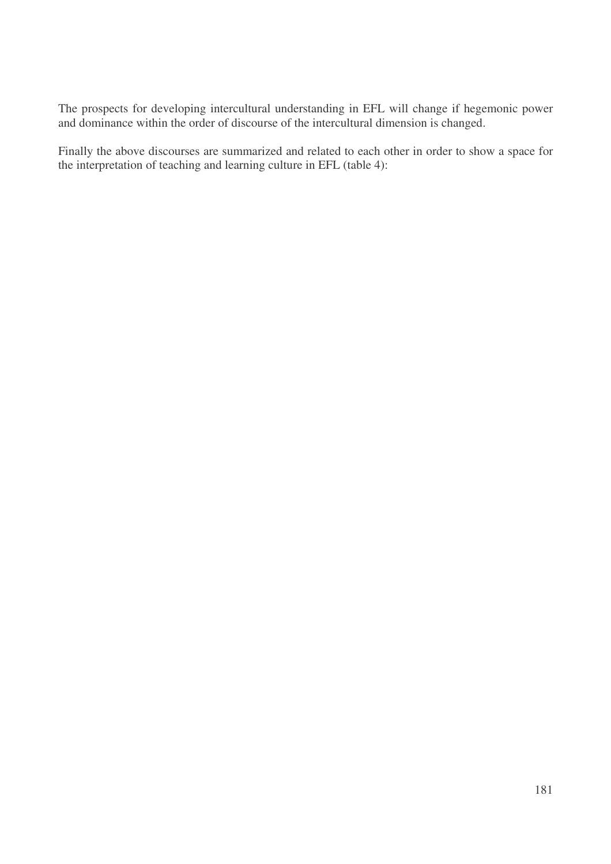The prospects for developing intercultural understanding in EFL will change if hegemonic power and dominance within the order of discourse of the intercultural dimension is changed.

Finally the above discourses are summarized and related to each other in order to show a space for the interpretation of teaching and learning culture in EFL (table 4):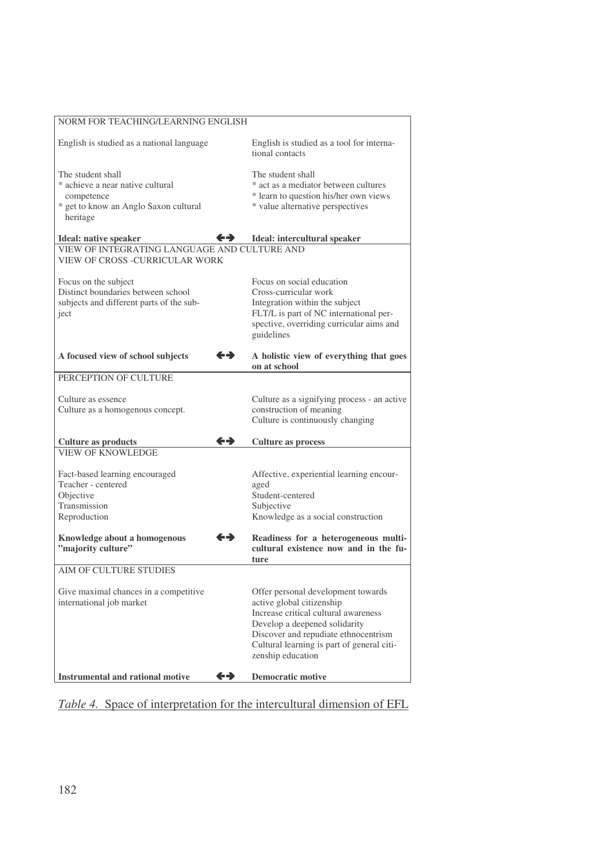| NORM FOR TEACHING/LEARNING ENGLISH                                                                                       |                   |                                                                                                                                                                                                                                                     |
|--------------------------------------------------------------------------------------------------------------------------|-------------------|-----------------------------------------------------------------------------------------------------------------------------------------------------------------------------------------------------------------------------------------------------|
| English is studied as a national language                                                                                |                   | English is studied as a tool for interna-<br>tional contacts                                                                                                                                                                                        |
| The student shall<br>* achieve a near native cultural<br>competence<br>* get to know an Anglo Saxon cultural<br>heritage |                   | The student shall<br>* act as a mediator between cultures<br>* learn to question his/her own views<br>* value alternative perspectives                                                                                                              |
| <b>Ideal:</b> native speaker                                                                                             | ←→                | Ideal: intercultural speaker                                                                                                                                                                                                                        |
| VIEW OF INTEGRATING LANGUAGE AND CULTURE AND<br>VIEW OF CROSS -CURRICULAR WORK                                           |                   |                                                                                                                                                                                                                                                     |
| Focus on the subject<br>Distinct boundaries between school<br>subjects and different parts of the sub-<br>ject           |                   | Focus on social education<br>Cross-curricular work<br>Integration within the subject<br>FLT/L is part of NC international per-<br>spective, overriding curricular aims and<br>guidelines                                                            |
| A focused view of school subjects                                                                                        | $\leftrightarrow$ | A holistic view of everything that goes<br>on at school                                                                                                                                                                                             |
| PERCEPTION OF CULTURE                                                                                                    |                   |                                                                                                                                                                                                                                                     |
| Culture as essence<br>Culture as a homogenous concept.                                                                   |                   | Culture as a signifying process - an active<br>construction of meaning<br>Culture is continuously changing                                                                                                                                          |
| <b>Culture as products</b>                                                                                               | ←→                | <b>Culture as process</b>                                                                                                                                                                                                                           |
| <b>VIEW OF KNOWLEDGE</b>                                                                                                 |                   |                                                                                                                                                                                                                                                     |
| Fact-based learning encouraged<br>Teacher - centered<br>Objective<br>Transmission<br>Reproduction                        |                   | Affective, experiential learning encour-<br>aged<br>Student-centered<br>Subjective<br>Knowledge as a social construction                                                                                                                            |
| Knowledge about a homogenous<br>"majority culture"                                                                       | $\leftrightarrow$ | Readiness for a heterogeneous multi-<br>cultural existence now and in the fu-<br>ture                                                                                                                                                               |
| AIM OF CULTURE STUDIES                                                                                                   |                   |                                                                                                                                                                                                                                                     |
| Give maximal chances in a competitive<br>international job market                                                        |                   | Offer personal development towards<br>active global citizenship<br>Increase critical cultural awareness<br>Develop a deepened solidarity<br>Discover and repudiate ethnocentrism<br>Cultural learning is part of general citi-<br>zenship education |
| <b>Instrumental and rational motive</b>                                                                                  | ←→                | <b>Democratic motive</b>                                                                                                                                                                                                                            |

*Table 4.* Space of interpretation for the intercultural dimension of EFL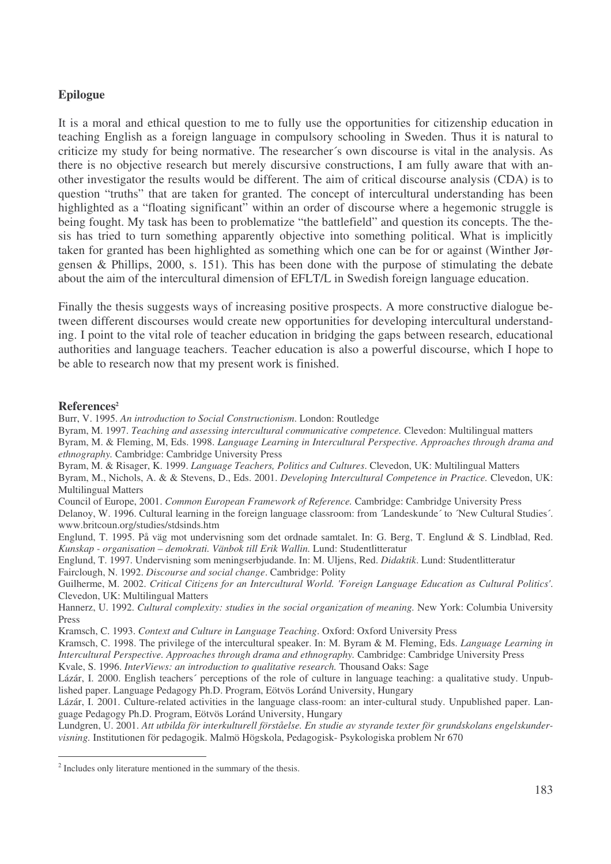## **Epilogue**

It is a moral and ethical question to me to fully use the opportunities for citizenship education in teaching English as a foreign language in compulsory schooling in Sweden. Thus it is natural to criticize my study for being normative. The researcher´s own discourse is vital in the analysis. As there is no objective research but merely discursive constructions, I am fully aware that with another investigator the results would be different. The aim of critical discourse analysis (CDA) is to question "truths" that are taken for granted. The concept of intercultural understanding has been highlighted as a "floating significant" within an order of discourse where a hegemonic struggle is being fought. My task has been to problematize "the battlefield" and question its concepts. The thesis has tried to turn something apparently objective into something political. What is implicitly taken for granted has been highlighted as something which one can be for or against (Winther Jørgensen & Phillips, 2000, s. 151). This has been done with the purpose of stimulating the debate about the aim of the intercultural dimension of EFLT/L in Swedish foreign language education.

Finally the thesis suggests ways of increasing positive prospects. A more constructive dialogue between different discourses would create new opportunities for developing intercultural understanding. I point to the vital role of teacher education in bridging the gaps between research, educational authorities and language teachers. Teacher education is also a powerful discourse, which I hope to be able to research now that my present work is finished.

## **References 2**

Burr, V. 1995. *An introduction to Social Constructionism*. London: Routledge

Byram, M. 1997. *Teaching and assessing intercultural communicative competence.* Clevedon: Multilingual matters

Byram, M. & Fleming, M, Eds. 1998. *Language Learning in Intercultural Perspective. Approaches through drama and ethnography.* Cambridge: Cambridge University Press

Byram, M. & Risager, K. 1999. *Language Teachers, Politics and Cultures*. Clevedon, UK: Multilingual Matters

Byram, M., Nichols, A. & & Stevens, D., Eds. 2001. *Developing Intercultural Competence in Practice.* Clevedon, UK: Multilingual Matters

Council of Europe, 2001. *Common European Framework of Reference.* Cambridge: Cambridge University Press Delanoy, W. 1996. Cultural learning in the foreign language classroom: from ´Landeskunde´ to ´New Cultural Studies´. www.britcoun.org/studies/stdsinds.htm

Englund, T. 1995. På väg mot undervisning som det ordnade samtalet. In: G. Berg, T. Englund & S. Lindblad, Red. *Kunskap - organisation – demokrati. Vänbok till Erik Wallin.* Lund: Studentlitteratur

Englund, T. 1997. Undervisning som meningserbjudande. In: M. Uljens, Red. *Didaktik*. Lund: Studentlitteratur Fairclough, N. 1992. *Discourse and social change*. Cambridge: Polity

Guilherme, M. 2002. *Critical Citizens for an Intercultural World. 'Foreign Language Education as Cultural Politics'*. Clevedon, UK: Multilingual Matters

Hannerz, U. 1992. *Cultural complexity: studies in the social organization of meaning.* New York: Columbia University Press

Kramsch, C. 1993. *Context and Culture in Language Teaching*. Oxford: Oxford University Press

Kramsch, C. 1998. The privilege of the intercultural speaker. In: M. Byram & M. Fleming, Eds. *Language Learning in Intercultural Perspective. Approaches through drama and ethnography.* Cambridge: Cambridge University Press

Kvale, S. 1996. *InterViews: an introduction to qualitative research.* Thousand Oaks: Sage

Lázár, I. 2000. English teachers´ perceptions of the role of culture in language teaching: a qualitative study. Unpublished paper. Language Pedagogy Ph.D. Program, Eötvös Loránd University, Hungary

Lázár, I. 2001. Culture-related activities in the language class-room: an inter-cultural study. Unpublished paper. Language Pedagogy Ph.D. Program, Eötvös Loránd University, Hungary

Lundgren, U. 2001. *Att utbilda för interkulturell förståelse. En studie av styrande texter för grundskolans engelskundervisning.* Institutionen för pedagogik. Malmö Högskola, Pedagogisk- Psykologiska problem Nr 670

<sup>&</sup>lt;sup>2</sup> Includes only literature mentioned in the summary of the thesis.